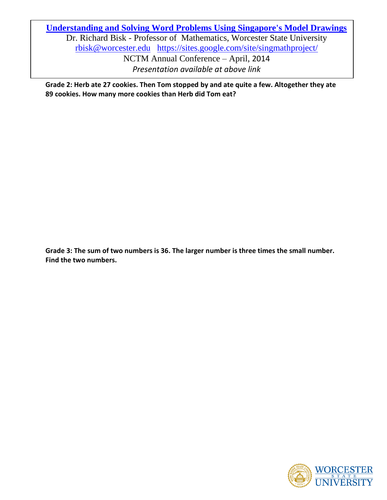**[Understanding and Solving Word Problems Using Singapore's Model Drawings](http://nctm.confex.com/nctm/2014AM/giaa/sessions/index.cgi?username=22026&password=510449)** Dr. Richard Bisk - Professor of Mathematics, Worcester State University [rbisk@worcester.edu](mailto:rbisk@worcester.edu) <https://sites.google.com/site/singmathproject/> NCTM Annual Conference – April, 2014 *Presentation available at above link*

**Grade 2: Herb ate 27 cookies. Then Tom stopped by and ate quite a few. Altogether they ate 89 cookies. How many more cookies than Herb did Tom eat?**

**Grade 3: The sum of two numbers is 36. The larger number is three times the small number. Find the two numbers.**

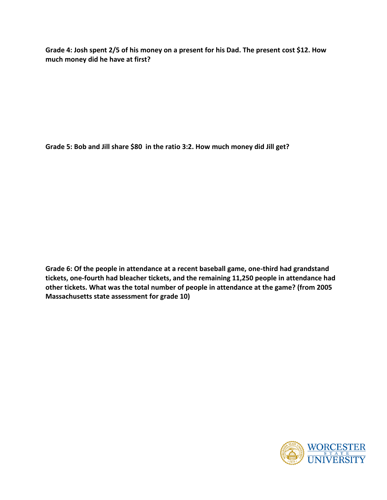**Grade 4: Josh spent 2/5 of his money on a present for his Dad. The present cost \$12. How much money did he have at first?**

**Grade 5: Bob and Jill share \$80 in the ratio 3:2. How much money did Jill get?**

**Grade 6: Of the people in attendance at a recent baseball game, one-third had grandstand tickets, one-fourth had bleacher tickets, and the remaining 11,250 people in attendance had other tickets. What was the total number of people in attendance at the game? (from 2005 Massachusetts state assessment for grade 10)**